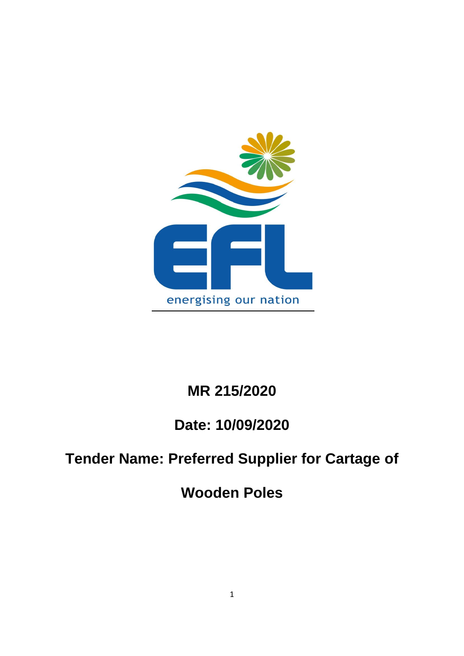

# **MR 215/2020**

## **Date: 10/09/2020**

# **Tender Name: Preferred Supplier for Cartage of**

**Wooden Poles**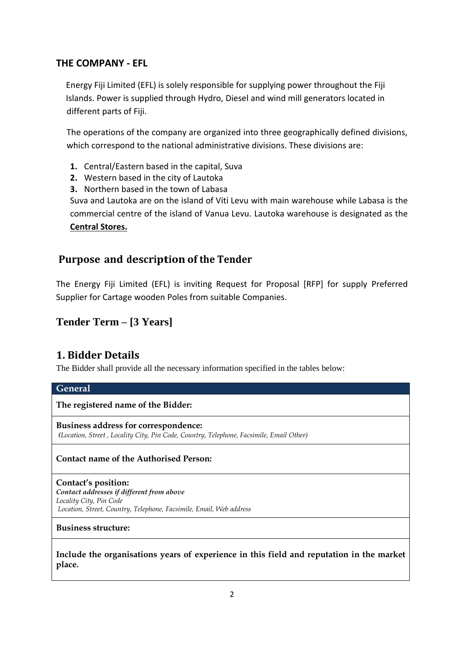### **THE COMPANY - EFL**

Energy Fiji Limited (EFL) is solely responsible for supplying power throughout the Fiji Islands. Power is supplied through Hydro, Diesel and wind mill generators located in different parts of Fiji.

The operations of the company are organized into three geographically defined divisions, which correspond to the national administrative divisions. These divisions are:

- **1.** Central/Eastern based in the capital, Suva
- **2.** Western based in the city of Lautoka
- **3.** Northern based in the town of Labasa

Suva and Lautoka are on the island of Viti Levu with main warehouse while Labasa is the commercial centre of the island of Vanua Levu. Lautoka warehouse is designated as the **Central Stores.**

## **Purpose and description of the Tender**

The Energy Fiji Limited (EFL) is inviting Request for Proposal [RFP] for supply Preferred Supplier for Cartage wooden Poles from suitable Companies.

## **Tender Term – [3 Years]**

## **1. Bidder Details**

The Bidder shall provide all the necessary information specified in the tables below:

| General |  |
|---------|--|
|         |  |

**The registered name of the Bidder:**

**Business address for correspondence:** *(Location, Street , Locality City, Pin Code, Country, Telephone, Facsimile, Email Other)*

#### **Contact name of the Authorised Person:**

**Contact's position:** *Contact addresses if different from above Locality City, Pin Code Location, Street, Country, Telephone, Facsimile, Email, Web address*

**Business structure:**

**Include the organisations years of experience in this field and reputation in the market place.**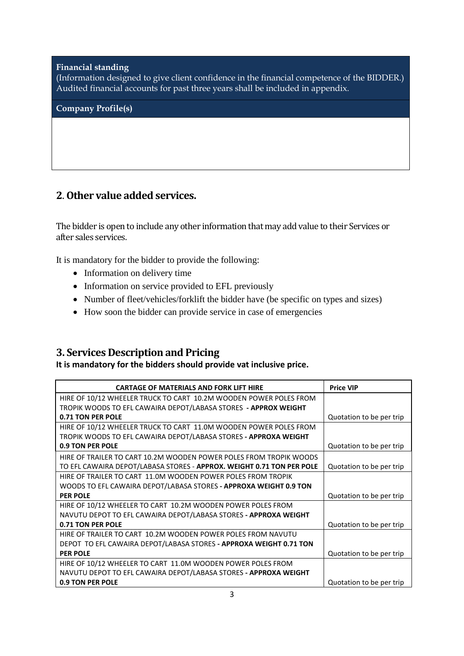#### **Financial standing**

(Information designed to give client confidence in the financial competence of the BIDDER.) Audited financial accounts for past three years shall be included in appendix.

**Company Profile(s)** 

## **2**. **Other value added services.**

The bidder is open to include any other information that may add value to their Services or after sales services.

It is mandatory for the bidder to provide the following:

- Information on delivery time
- Information on service provided to EFL previously
- Number of fleet/vehicles/forklift the bidder have (be specific on types and sizes)
- How soon the bidder can provide service in case of emergencies

## **3. Services Description and Pricing**

**It is mandatory for the bidders should provide vat inclusive price.**

| <b>CARTAGE OF MATERIALS AND FORK LIFT HIRE</b>                        | <b>Price VIP</b>         |
|-----------------------------------------------------------------------|--------------------------|
| HIRE OF 10/12 WHEELER TRUCK TO CART 10.2M WOODEN POWER POLES FROM     |                          |
| TROPIK WOODS TO EFL CAWAIRA DEPOT/LABASA STORES - APPROX WEIGHT       |                          |
| 0.71 TON PER POLE                                                     | Quotation to be per trip |
| HIRE OF 10/12 WHEELER TRUCK TO CART 11.0M WOODEN POWER POLES FROM     |                          |
| TROPIK WOODS TO EFL CAWAIRA DEPOT/LABASA STORES - APPROXA WEIGHT      |                          |
| 0.9 TON PER POLE                                                      | Quotation to be per trip |
| HIRE OF TRAILER TO CART 10.2M WOODEN POWER POLES FROM TROPIK WOODS    |                          |
| TO EFL CAWAIRA DEPOT/LABASA STORES - APPROX. WEIGHT 0.71 TON PER POLE | Quotation to be per trip |
| HIRE OF TRAILER TO CART 11.0M WOODEN POWER POLES FROM TROPIK          |                          |
| WOODS TO EFL CAWAIRA DEPOT/LABASA STORES - APPROXA WEIGHT 0.9 TON     |                          |
| <b>PER POLE</b>                                                       | Quotation to be per trip |
| HIRE OF 10/12 WHEELER TO CART 10.2M WOODEN POWER POLES FROM           |                          |
| NAVUTU DEPOT TO EFL CAWAIRA DEPOT/LABASA STORES - APPROXA WEIGHT      |                          |
| 0.71 TON PER POLE                                                     | Quotation to be per trip |
| HIRE OF TRAILER TO CART 10.2M WOODEN POWER POLES FROM NAVUTU          |                          |
| DEPOT TO EFL CAWAIRA DEPOT/LABASA STORES - APPROXA WEIGHT 0.71 TON    |                          |
| <b>PER POLE</b>                                                       | Quotation to be per trip |
| HIRE OF 10/12 WHEELER TO CART 11.0M WOODEN POWER POLES FROM           |                          |
| NAVUTU DEPOT TO EFL CAWAIRA DEPOT/LABASA STORES - APPROXA WEIGHT      |                          |
| 0.9 TON PER POLE                                                      | Quotation to be per trip |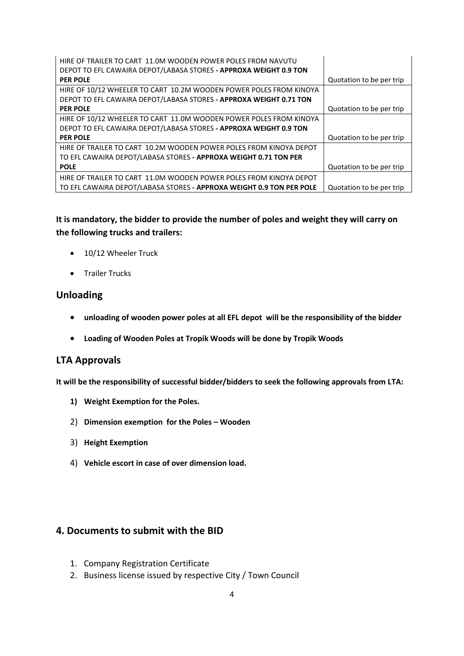| HIRE OF TRAILER TO CART 11.0M WOODEN POWER POLES FROM NAVUTU         |                          |
|----------------------------------------------------------------------|--------------------------|
| DEPOT TO EFL CAWAIRA DEPOT/LABASA STORES - APPROXA WEIGHT 0.9 TON    |                          |
| <b>PER POLE</b>                                                      | Quotation to be per trip |
| HIRE OF 10/12 WHEELER TO CART 10.2M WOODEN POWER POLES FROM KINOYA   |                          |
| DEPOT TO EFL CAWAIRA DEPOT/LABASA STORES - APPROXA WEIGHT 0.71 TON   |                          |
| <b>PER POLE</b>                                                      | Quotation to be per trip |
| HIRE OF 10/12 WHEELER TO CART 11.0M WOODEN POWER POLES FROM KINOYA   |                          |
| DEPOT TO EFL CAWAIRA DEPOT/LABASA STORES - APPROXA WEIGHT 0.9 TON    |                          |
| <b>PER POLE</b>                                                      | Quotation to be per trip |
| HIRE OF TRAILER TO CART 10.2M WOODEN POWER POLES FROM KINOYA DEPOT   |                          |
| TO EFL CAWAIRA DEPOT/LABASA STORES - APPROXA WEIGHT 0.71 TON PER     |                          |
| <b>POLE</b>                                                          | Quotation to be per trip |
| HIRE OF TRAILER TO CART 11.0M WOODEN POWER POLES FROM KINOYA DEPOT   |                          |
| TO EFL CAWAIRA DEPOT/LABASA STORES - APPROXA WEIGHT 0.9 TON PER POLE | Quotation to be per trip |

**It is mandatory, the bidder to provide the number of poles and weight they will carry on the following trucks and trailers:**

- 10/12 Wheeler Truck
- **•** Trailer Trucks

#### **Unloading**

- **unloading of wooden power poles at all EFL depot will be the responsibility of the bidder**
- **Loading of Wooden Poles at Tropik Woods will be done by Tropik Woods**

#### **LTA Approvals**

**It will be the responsibility of successful bidder/bidders to seek the following approvals from LTA:**

- **1) Weight Exemption for the Poles.**
- 2) **Dimension exemption for the Poles – Wooden**
- 3) **Height Exemption**
- 4) **Vehicle escort in case of over dimension load.**

## **4. Documents to submit with the BID**

- 1. Company Registration Certificate
- 2. Business license issued by respective City / Town Council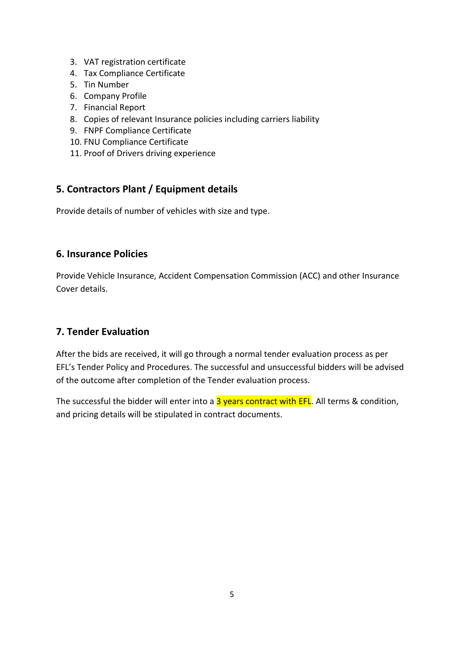- 3. VAT registration certificate
- 4. Tax Compliance Certificate
- 5. Tin Number
- 6. Company Profile
- 7. Financial Report
- 8. Copies of relevant Insurance policies including carriers liability
- 9. FNPF Compliance Certificate
- 10. FNU Compliance Certificate
- 11. Proof of Drivers driving experience

## **5. Contractors Plant / Equipment details**

Provide details of number of vehicles with size and type.

## **6. Insurance Policies**

Provide Vehicle Insurance, Accident Compensation Commission (ACC) and other Insurance Cover details.

## **7. Tender Evaluation**

After the bids are received, it will go through a normal tender evaluation process as per EFL's Tender Policy and Procedures. The successful and unsuccessful bidders will be advised of the outcome after completion of the Tender evaluation process.

The successful the bidder will enter into a  $3$  years contract with EFL. All terms & condition, and pricing details will be stipulated in contract documents.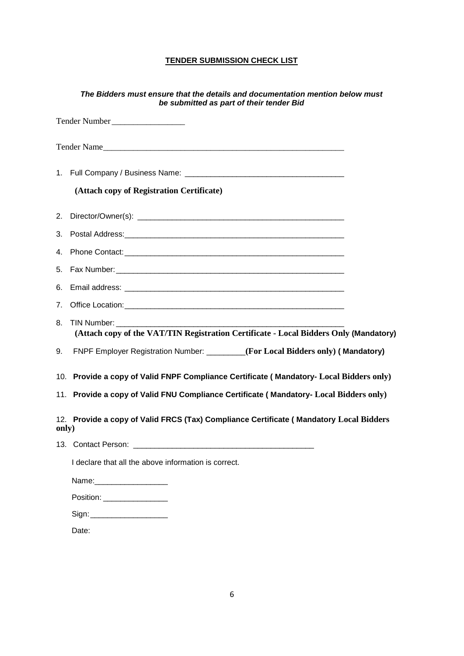#### **TENDER SUBMISSION CHECK LIST**

| The Bidders must ensure that the details and documentation mention below must<br>be submitted as part of their tender Bid |  |
|---------------------------------------------------------------------------------------------------------------------------|--|
| Tender Number                                                                                                             |  |
| Tender Name                                                                                                               |  |
|                                                                                                                           |  |
| (Attach copy of Registration Certificate)                                                                                 |  |
|                                                                                                                           |  |
|                                                                                                                           |  |
| 4.                                                                                                                        |  |
| 5.                                                                                                                        |  |
| Email address: No. 2014 19:00:00 PM and 20:00:00 PM and 20:00:00 PM and 20:00:00 PM and 20:00:00 PM and 20:00<br>6.       |  |
| 7.                                                                                                                        |  |
| 8.<br>(Attach copy of the VAT/TIN Registration Certificate - Local Bidders Only (Mandatory)                               |  |
| FNPF Employer Registration Number: _______(For Local Bidders only) (Mandatory)<br>9.                                      |  |
| 10. Provide a copy of Valid FNPF Compliance Certificate (Mandatory- Local Bidders only)                                   |  |
| 11. Provide a copy of Valid FNU Compliance Certificate (Mandatory- Local Bidders only)                                    |  |
| 12. Provide a copy of Valid FRCS (Tax) Compliance Certificate (Mandatory Local Bidders<br>only)                           |  |
| Contact Person: Entertainment of the contact Person:<br>13.                                                               |  |
| I declare that all the above information is correct.                                                                      |  |
|                                                                                                                           |  |
| Position: ___________________                                                                                             |  |
| Sign: _______________________                                                                                             |  |
| Date:                                                                                                                     |  |
|                                                                                                                           |  |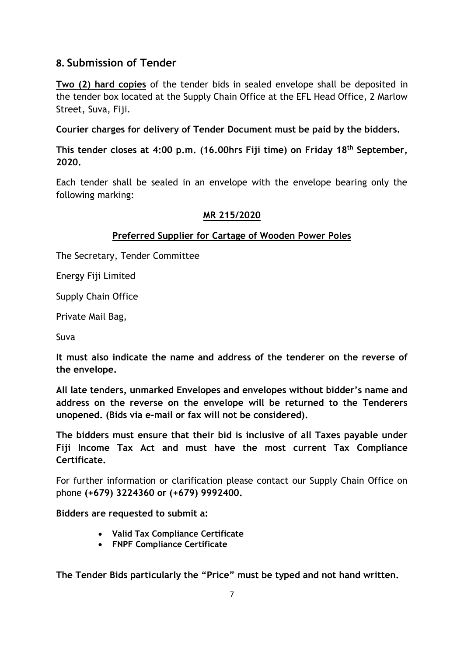## **8. Submission of Tender**

**Two (2) hard copies** of the tender bids in sealed envelope shall be deposited in the tender box located at the Supply Chain Office at the EFL Head Office, 2 Marlow Street, Suva, Fiji.

**Courier charges for delivery of Tender Document must be paid by the bidders.**

**This tender closes at 4:00 p.m. (16.00hrs Fiji time) on Friday 18th September, 2020.**

Each tender shall be sealed in an envelope with the envelope bearing only the following marking:

### **MR 215/2020**

## **Preferred Supplier for Cartage of Wooden Power Poles**

The Secretary, Tender Committee

Energy Fiji Limited

Supply Chain Office

Private Mail Bag,

Suva

**It must also indicate the name and address of the tenderer on the reverse of the envelope.**

**All late tenders, unmarked Envelopes and envelopes without bidder's name and address on the reverse on the envelope will be returned to the Tenderers unopened. (Bids via e-mail or fax will not be considered).**

**The bidders must ensure that their bid is inclusive of all Taxes payable under Fiji Income Tax Act and must have the most current Tax Compliance Certificate.** 

For further information or clarification please contact our Supply Chain Office on phone **(+679) 3224360 or (+679) 9992400.**

**Bidders are requested to submit a:**

- **Valid Tax Compliance Certificate**
- **FNPF Compliance Certificate**

**The Tender Bids particularly the "Price" must be typed and not hand written.**